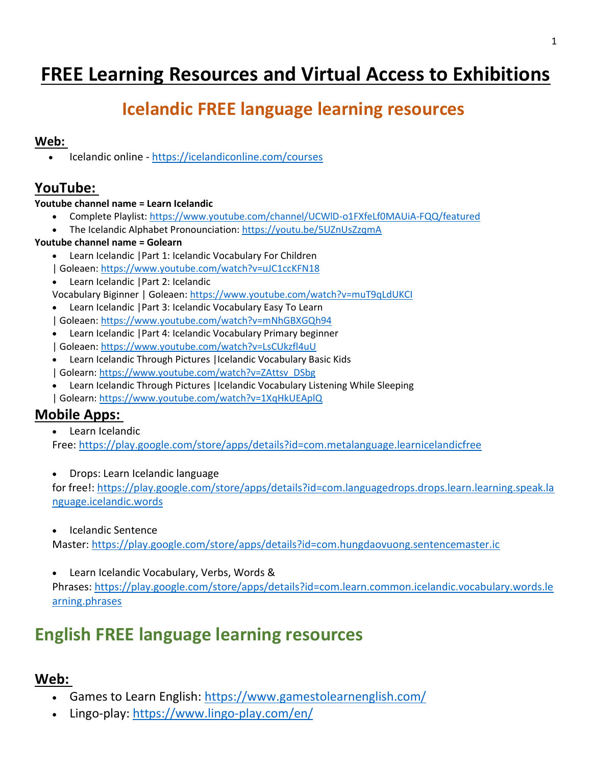# **FREE Learning Resources and Virtual Access to Exhibitions**

# **Icelandic FREE language learning resources**

#### **Web:**

• Icelandic online - <https://icelandiconline.com/courses>

## **YouTube:**

#### **Youtube channel name = Learn Icelandic**

- Complete Playlist: <https://www.youtube.com/channel/UCWlD-o1FXfeLf0MAUiA-FQQ/featured>
- The Icelandic Alphabet Pronounciation: <https://youtu.be/5UZnUsZzqmA>

#### **Youtube channel name = Golearn**

- Learn Icelandic |Part 1: Icelandic Vocabulary For Children
- | Goleaen: <https://www.youtube.com/watch?v=uJC1ccKFN18>
- Learn Icelandic | Part 2: Icelandic

Vocabulary Biginner | Goleaen: <https://www.youtube.com/watch?v=muT9qLdUKCI>

- Learn Icelandic |Part 3: Icelandic Vocabulary Easy To Learn
- | Goleaen: <https://www.youtube.com/watch?v=mNhGBXGQh94>
- Learn Icelandic |Part 4: Icelandic Vocabulary Primary beginner | Goleaen: <https://www.youtube.com/watch?v=LsCUkzfl4uU>
- Learn Icelandic Through Pictures |Icelandic Vocabulary Basic Kids | Golearn: [https://www.youtube.com/watch?v=ZAttsv\\_DSbg](https://www.youtube.com/watch?v=ZAttsv_DSbg)
- Learn Icelandic Through Pictures |Icelandic Vocabulary Listening While Sleeping | Golearn: <https://www.youtube.com/watch?v=1XqHkUEAplQ>

### **Mobile Apps:**

• Learn Icelandic

Free: <https://play.google.com/store/apps/details?id=com.metalanguage.learnicelandicfree>

• Drops: Learn Icelandic language

for free!: [https://play.google.com/store/apps/details?id=com.languagedrops.drops.learn.learning.speak.la](https://play.google.com/store/apps/details?id=com.languagedrops.drops.learn.learning.speak.language.icelandic.words) [nguage.icelandic.words](https://play.google.com/store/apps/details?id=com.languagedrops.drops.learn.learning.speak.language.icelandic.words) 

• Icelandic Sentence

Master: <https://play.google.com/store/apps/details?id=com.hungdaovuong.sentencemaster.ic>

Learn Icelandic Vocabulary, Verbs, Words & Phrases: [https://play.google.com/store/apps/details?id=com.learn.common.icelandic.vocabulary.words.le](https://play.google.com/store/apps/details?id=com.learn.common.icelandic.vocabulary.words.learning.phrases) [arning.phrases](https://play.google.com/store/apps/details?id=com.learn.common.icelandic.vocabulary.words.learning.phrases)

# **English FREE language learning resources**

## **Web:**

- Games to Learn English: <https://www.gamestolearnenglish.com/>
- Lingo-play: <https://www.lingo-play.com/en/>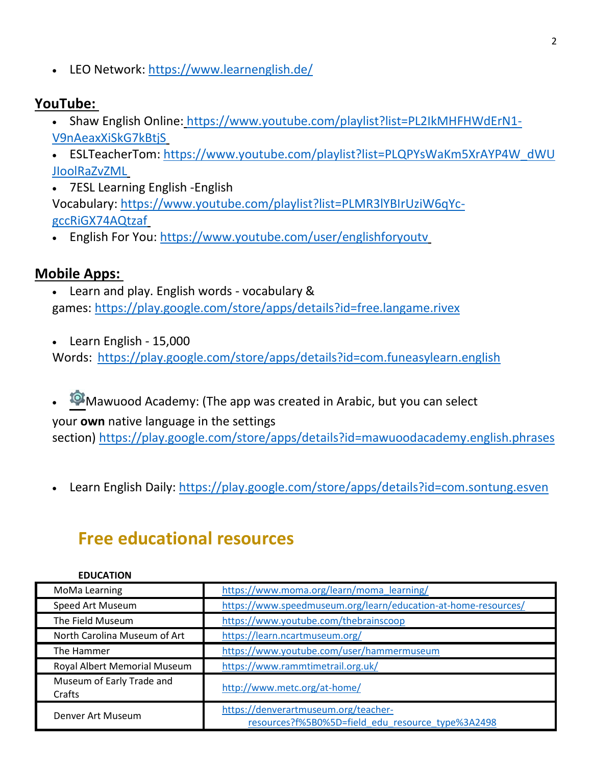• LEO Network: <https://www.learnenglish.de/>

## **YouTube:**

- Shaw English Online: [https://www.youtube.com/playlist?list=PL2IkMHFHWdErN1-](https://www.youtube.com/playlist?list=PL2IkMHFHWdErN1-V9nAeaxXiSkG7kBtjS) [V9nAeaxXiSkG7kBtjS](https://www.youtube.com/playlist?list=PL2IkMHFHWdErN1-V9nAeaxXiSkG7kBtjS)
- ESLTeacherTom: [https://www.youtube.com/playlist?list=PLQPYsWaKm5XrAYP4W\\_dWU](https://www.youtube.com/playlist?list=PLQPYsWaKm5XrAYP4W_dWUJIoolRaZvZML) [JIoolRaZvZML](https://www.youtube.com/playlist?list=PLQPYsWaKm5XrAYP4W_dWUJIoolRaZvZML)

2

- 7ESL Learning English -English Vocabulary: [https://www.youtube.com/playlist?list=PLMR3lYBIrUziW6qYc](https://www.youtube.com/playlist?list=PLMR3lYBIrUziW6qYc-gccRiGX74AQtzaf)[gccRiGX74AQtzaf](https://www.youtube.com/playlist?list=PLMR3lYBIrUziW6qYc-gccRiGX74AQtzaf)
- English For You: <https://www.youtube.com/user/englishforyoutv>

## **Mobile Apps:**

- Learn and play. English words vocabulary & games: <https://play.google.com/store/apps/details?id=free.langame.rivex>
- Learn English 15,000

Words: <https://play.google.com/store/apps/details?id=com.funeasylearn.english>

 $\bullet$  Mawuood Academy: (The app was created in Arabic, but you can select your **own** native language in the settings

section) <https://play.google.com/store/apps/details?id=mawuoodacademy.english.phrases>

• Learn English Daily: <https://play.google.com/store/apps/details?id=com.sontung.esven>

## **Free educational resources**

| <b>EDUCATION</b>                    |                                                                                           |
|-------------------------------------|-------------------------------------------------------------------------------------------|
| MoMa Learning                       | https://www.moma.org/learn/moma_learning/                                                 |
| Speed Art Museum                    | https://www.speedmuseum.org/learn/education-at-home-resources/                            |
| The Field Museum                    | https://www.youtube.com/thebrainscoop                                                     |
| North Carolina Museum of Art        | https://learn.ncartmuseum.org/                                                            |
| The Hammer                          | https://www.youtube.com/user/hammermuseum                                                 |
| Royal Albert Memorial Museum        | https://www.rammtimetrail.org.uk/                                                         |
| Museum of Early Trade and<br>Crafts | http://www.metc.org/at-home/                                                              |
| Denver Art Museum                   | https://denverartmuseum.org/teacher-<br>resources?f%5B0%5D=field edu resource type%3A2498 |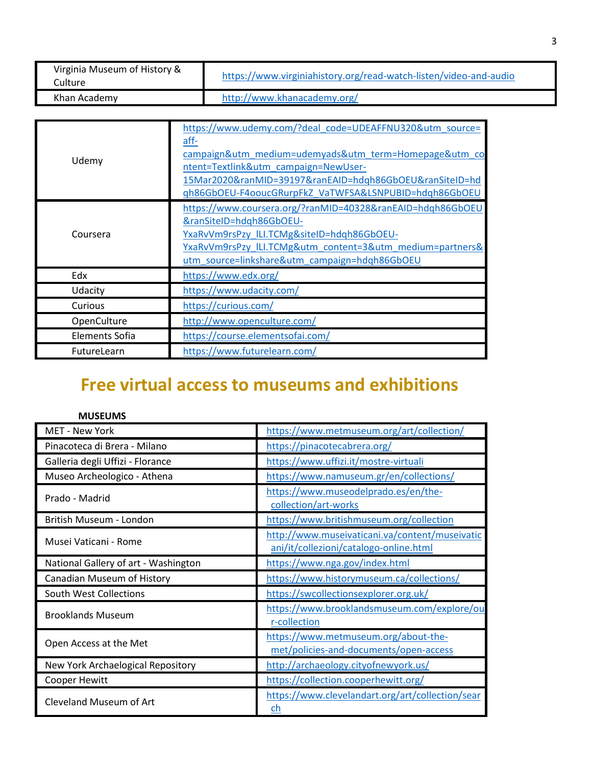| Virginia Museum of History &<br>Culture | https://www.virginiahistory.org/read-watch-listen/video-and-audio |
|-----------------------------------------|-------------------------------------------------------------------|
| Khan Academy                            | http://www.khanacademy.org/                                       |

| Udemy          | https://www.udemy.com/?deal_code=UDEAFFNU320&utm_source=<br>aff-<br>campaign&utm_medium=udemyads&utm_term=Homepage&utm_co<br>ntent=Textlink&utm_campaign=NewUser-<br>15Mar2020&ranMID=39197&ranEAID=hdqh86GbOEU&ranSiteID=hd<br>gh86GbOEU-F4ooucGRurpFkZ VaTWFSA&LSNPUBID=hdqh86GbOEU |
|----------------|---------------------------------------------------------------------------------------------------------------------------------------------------------------------------------------------------------------------------------------------------------------------------------------|
| Coursera       | https://www.coursera.org/?ranMID=40328&ranEAID=hdqh86GbOEU<br>&ranSiteID=hdqh86GbOEU-<br>YxaRvVm9rsPzy ILI.TCMg&siteID=hdqh86GbOEU-<br>YxaRvVm9rsPzy ILI.TCMg&utm content=3&utm medium=partners&<br>utm source=linkshare&utm campaign=hdqh86GbOEU                                     |
| Edx            | https://www.edx.org/                                                                                                                                                                                                                                                                  |
| Udacity        | https://www.udacity.com/                                                                                                                                                                                                                                                              |
| Curious        | https://curious.com/                                                                                                                                                                                                                                                                  |
| OpenCulture    | http://www.openculture.com/                                                                                                                                                                                                                                                           |
| Elements Sofia | https://course.elementsofai.com/                                                                                                                                                                                                                                                      |
| FutureLearn    | https://www.futurelearn.com/                                                                                                                                                                                                                                                          |

# **Free virtual access to museums and exhibitions**

| <b>MUSEUMS</b>                       |                                                                                          |
|--------------------------------------|------------------------------------------------------------------------------------------|
| <b>MET - New York</b>                | https://www.metmuseum.org/art/collection/                                                |
| Pinacoteca di Brera - Milano         | https://pinacotecabrera.org/                                                             |
| Galleria degli Uffizi - Florance     | https://www.uffizi.it/mostre-virtuali                                                    |
| Museo Archeologico - Athena          | https://www.namuseum.gr/en/collections/                                                  |
| Prado - Madrid                       | https://www.museodelprado.es/en/the-<br>collection/art-works                             |
| British Museum - London              | https://www.britishmuseum.org/collection                                                 |
| Musei Vaticani - Rome                | http://www.museivaticani.va/content/museivatic<br>ani/it/collezioni/catalogo-online.html |
| National Gallery of art - Washington | https://www.nga.gov/index.html                                                           |
| Canadian Museum of History           | https://www.historymuseum.ca/collections/                                                |
| South West Collections               | https://swcollectionsexplorer.org.uk/                                                    |
| <b>Brooklands Museum</b>             | https://www.brooklandsmuseum.com/explore/ou<br>r-collection                              |
| Open Access at the Met               | https://www.metmuseum.org/about-the-<br>met/policies-and-documents/open-access           |
| New York Archaelogical Repository    | http://archaeology.cityofnewyork.us/                                                     |
| Cooper Hewitt                        | https://collection.cooperhewitt.org/                                                     |
| <b>Cleveland Museum of Art</b>       | https://www.clevelandart.org/art/collection/sear<br>ch                                   |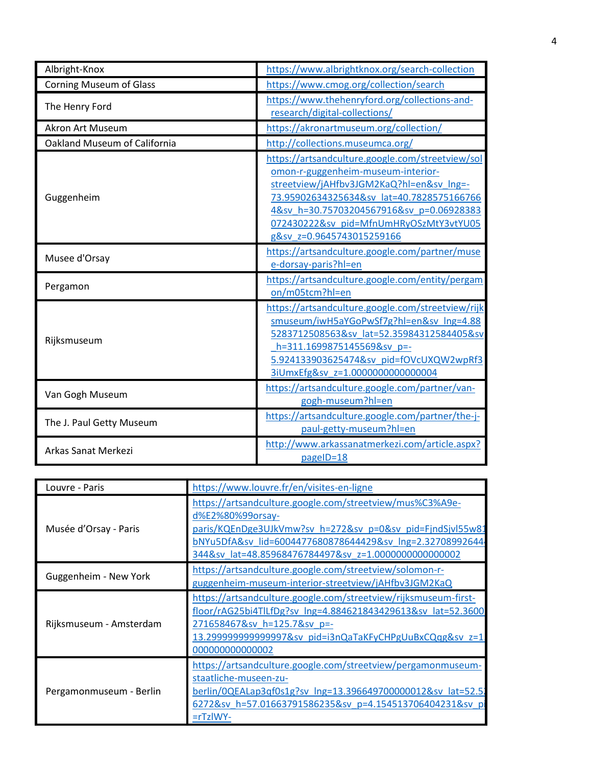| Albright-Knox                  | https://www.albrightknox.org/search-collection                                                                                                                                                                                                                                                     |
|--------------------------------|----------------------------------------------------------------------------------------------------------------------------------------------------------------------------------------------------------------------------------------------------------------------------------------------------|
| <b>Corning Museum of Glass</b> | https://www.cmog.org/collection/search                                                                                                                                                                                                                                                             |
| The Henry Ford                 | https://www.thehenryford.org/collections-and-<br>research/digital-collections/                                                                                                                                                                                                                     |
| <b>Akron Art Museum</b>        | https://akronartmuseum.org/collection/                                                                                                                                                                                                                                                             |
| Oakland Museum of California   | http://collections.museumca.org/                                                                                                                                                                                                                                                                   |
| Guggenheim                     | https://artsandculture.google.com/streetview/sol<br>omon-r-guggenheim-museum-interior-<br>streetview/jAHfbv3JGM2KaQ?hl=en&sv Ing=-<br>73.95902634325634&sv lat=40.7828575166766<br>4&sv_h=30.75703204567916&sv_p=0.06928383<br>072430222&sv pid=MfnUmHRyOSzMtY3vtYU05<br>g&sv z=0.9645743015259166 |
| Musee d'Orsay                  | https://artsandculture.google.com/partner/muse<br>e-dorsay-paris?hl=en                                                                                                                                                                                                                             |
| Pergamon                       | https://artsandculture.google.com/entity/pergam<br>on/m05tcm?hl=en                                                                                                                                                                                                                                 |
| Rijksmuseum                    | https://artsandculture.google.com/streetview/rijk<br>smuseum/iwH5aYGoPwSf7g?hl=en&sv lng=4.88<br>5283712508563&sv lat=52.35984312584405&sv<br>h=311.1699875145569&sv p=-<br>5.924133903625474&sv_pid=fOVcUXQW2wpRf3<br>3iUmxEfg&sv z=1.0000000000000004                                            |
| Van Gogh Museum                | https://artsandculture.google.com/partner/van-<br>gogh-museum?hl=en                                                                                                                                                                                                                                |
| The J. Paul Getty Museum       | https://artsandculture.google.com/partner/the-j-<br>paul-getty-museum?hl=en                                                                                                                                                                                                                        |
| Arkas Sanat Merkezi            | http://www.arkassanatmerkezi.com/article.aspx?<br>pageID=18                                                                                                                                                                                                                                        |

| Louvre - Paris          | https://www.louvre.fr/en/visites-en-ligne                                                                                                                                                                                                                     |
|-------------------------|---------------------------------------------------------------------------------------------------------------------------------------------------------------------------------------------------------------------------------------------------------------|
| Musée d'Orsay - Paris   | https://artsandculture.google.com/streetview/mus%C3%A9e-<br>d%E2%80%99orsay-<br>paris/KQEnDge3UJkVmw?sv h=272&sv p=0&sv pid=FjndSjvl55w81<br>bNYu5DfA&sv lid=6004477680878644429&sv lng=2.32708992644<br>344&sv lat=48.85968476784497&sv z=1.0000000000000002 |
| Guggenheim - New York   | https://artsandculture.google.com/streetview/solomon-r-<br>guggenheim-museum-interior-streetview/jAHfbv3JGM2KaQ                                                                                                                                               |
| Rijksmuseum - Amsterdam | https://artsandculture.google.com/streetview/rijksmuseum-first-<br>floor/rAG25bi4TlLfDg?sv lng=4.884621843429613&sv lat=52.3600<br>271658467&sv h=125.7&sv p=-<br>13.299999999999997&sv pid=i3nQaTaKFyCHPgUuBxCQqg&sv z=1<br>000000000000002                  |
| Pergamonmuseum - Berlin | https://artsandculture.google.com/streetview/pergamonmuseum-<br>staatliche-museen-zu-<br>berlin/0QEALap3qf0s1g?sv lng=13.396649700000012&sv lat=52.52<br>6272&sv h=57.01663791586235&sv p=4.154513706404231&sv pi<br>$=$ rTzIWY-                              |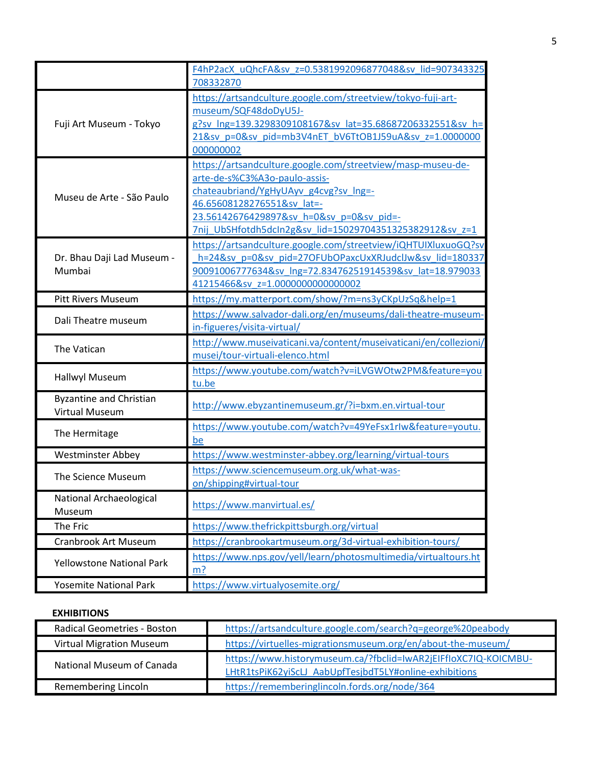|                                  | F4hP2acX uQhcFA&sv z=0.5381992096877048&sv lid=907343325                                     |
|----------------------------------|----------------------------------------------------------------------------------------------|
|                                  | 708332870                                                                                    |
| Fuji Art Museum - Tokyo          | https://artsandculture.google.com/streetview/tokyo-fuji-art-<br>museum/SQF48doDyU5J-         |
|                                  | g?sv lng=139.3298309108167&sv lat=35.68687206332551&sv h=                                    |
|                                  | 21&sv p=0&sv pid=mb3V4nET bV6TtOB1J59uA&sv z=1.0000000                                       |
|                                  | 000000002                                                                                    |
|                                  | https://artsandculture.google.com/streetview/masp-museu-de-                                  |
|                                  | arte-de-s%C3%A3o-paulo-assis-                                                                |
| Museu de Arte - São Paulo        | chateaubriand/YgHyUAyv g4cvg?sv Ing=-                                                        |
|                                  | 46.65608128276551&sv lat =-                                                                  |
|                                  | 23.56142676429897&sv_h=0&sv_p=0&sv_pid=-                                                     |
|                                  | 7nij UbSHfotdh5dcIn2g&sv lid=15029704351325382912&sv z=1                                     |
|                                  | https://artsandculture.google.com/streetview/iQHTUIXluxuoGQ?sv                               |
| Dr. Bhau Daji Lad Museum -       | h=24&sv_p=0&sv_pid=27OFUbOPaxcUxXRJudclJw&sv_lid=180337                                      |
| Mumbai                           | 90091006777634&sv lng=72.83476251914539&sv lat=18.979033<br>41215466&sv z=1.0000000000000002 |
|                                  |                                                                                              |
| <b>Pitt Rivers Museum</b>        | https://my.matterport.com/show/?m=ns3yCKpUzSq&help=1                                         |
| Dali Theatre museum              | https://www.salvador-dali.org/en/museums/dali-theatre-museum-<br>in-figueres/visita-virtual/ |
|                                  | http://www.museivaticani.va/content/museivaticani/en/collezioni/                             |
| The Vatican                      | musei/tour-virtuali-elenco.html                                                              |
| <b>Hallwyl Museum</b>            | https://www.youtube.com/watch?v=iLVGWOtw2PM&feature=you                                      |
|                                  | tu.be                                                                                        |
| <b>Byzantine and Christian</b>   | http://www.ebyzantinemuseum.gr/?i=bxm.en.virtual-tour                                        |
| <b>Virtual Museum</b>            |                                                                                              |
| The Hermitage                    | https://www.youtube.com/watch?v=49YeFsx1rIw&feature=youtu.                                   |
|                                  | be                                                                                           |
| <b>Westminster Abbey</b>         | https://www.westminster-abbey.org/learning/virtual-tours                                     |
| The Science Museum               | https://www.sciencemuseum.org.uk/what-was-                                                   |
|                                  | on/shipping#virtual-tour                                                                     |
| National Archaeological          | https://www.manvirtual.es/                                                                   |
| Museum                           |                                                                                              |
| The Fric                         | https://www.thefrickpittsburgh.org/virtual                                                   |
| <b>Cranbrook Art Museum</b>      | https://cranbrookartmuseum.org/3d-virtual-exhibition-tours/                                  |
| <b>Yellowstone National Park</b> | https://www.nps.gov/yell/learn/photosmultimedia/virtualtours.ht                              |
|                                  | $m$ ?                                                                                        |
| <b>Yosemite National Park</b>    | https://www.virtualyosemite.org/                                                             |

#### **EXHIBITIONS**

| <b>Radical Geometries - Boston</b> | https://artsandculture.google.com/search?q=george%20peabody                                                               |
|------------------------------------|---------------------------------------------------------------------------------------------------------------------------|
| <b>Virtual Migration Museum</b>    | https://virtuelles-migrationsmuseum.org/en/about-the-museum/                                                              |
| National Museum of Canada          | https://www.historymuseum.ca/?fbclid=IwAR2jEIFfloXC7IQ-KOICMBU-<br>LHtR1tsPiK62yiScLJ AabUpfTesjbdT5LY#online-exhibitions |
| Remembering Lincoln                | https://rememberinglincoln.fords.org/node/364                                                                             |